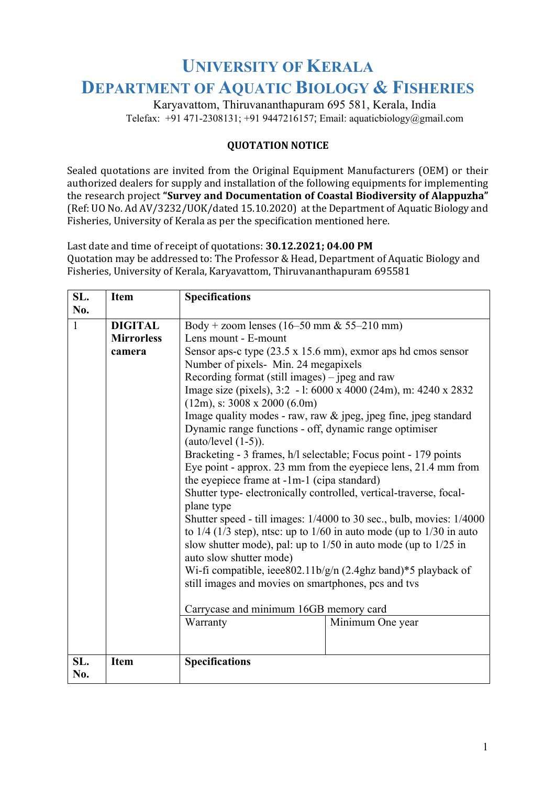## **UNIVERSITY OF KERALA DEPARTMENT OF AQUATIC BIOLOGY & FISHERIES**

Karyavattom, Thiruvananthapuram 695 581, Kerala, India Telefax:  $+91471-2308131$ ;  $+919447216157$ ; Email: aquaticbiology@gmail.com

## **QUOTATION NOTICE**

Sealed quotations are invited from the Original Equipment Manufacturers (OEM) or their authorized dealers for supply and installation of the following equipments for implementing the research project "Survey and Documentation of Coastal Biodiversity of Alappuzha" (Ref: UO No. Ad AV/3232/UOK/dated 15.10.2020) at the Department of Aquatic Biology and Fisheries, University of Kerala as per the specification mentioned here.

Last date and time of receipt of quotations: **30.12.2021;** 04.00 PM Quotation may be addressed to: The Professor & Head, Department of Aquatic Biology and Fisheries, University of Kerala, Karyavattom, Thiruvananthapuram 695581

| SL.          | <b>Item</b>       | <b>Specifications</b>                                                              |                  |  |
|--------------|-------------------|------------------------------------------------------------------------------------|------------------|--|
| No.          |                   |                                                                                    |                  |  |
| $\mathbf{1}$ | <b>DIGITAL</b>    | Body + zoom lenses (16–50 mm & 55–210 mm)                                          |                  |  |
|              | <b>Mirrorless</b> | Lens mount - E-mount                                                               |                  |  |
|              | camera            | Sensor aps-c type $(23.5 \times 15.6 \text{ mm})$ , exmor aps hd cmos sensor       |                  |  |
|              |                   | Number of pixels- Min. 24 megapixels                                               |                  |  |
|              |                   | Recording format (still images) $-$ jpeg and raw                                   |                  |  |
|              |                   | Image size (pixels), 3:2 - 1: 6000 x 4000 (24m), m: 4240 x 2832                    |                  |  |
|              |                   | $(12m)$ , s: 3008 x 2000 (6.0m)                                                    |                  |  |
|              |                   | Image quality modes - raw, raw & jpeg, jpeg fine, jpeg standard                    |                  |  |
|              |                   | Dynamic range functions - off, dynamic range optimiser                             |                  |  |
|              |                   | (auto/level $(1-5)$ ).                                                             |                  |  |
|              |                   | Bracketing - 3 frames, h/l selectable; Focus point - 179 points                    |                  |  |
|              |                   | Eye point - approx. 23 mm from the eyepiece lens, 21.4 mm from                     |                  |  |
|              |                   | the eyepiece frame at -1m-1 (cipa standard)                                        |                  |  |
|              |                   | Shutter type- electronically controlled, vertical-traverse, focal-                 |                  |  |
|              |                   | plane type<br>Shutter speed - till images: 1/4000 to 30 sec., bulb, movies: 1/4000 |                  |  |
|              |                   | to $1/4$ ( $1/3$ step), ntsc: up to $1/60$ in auto mode (up to $1/30$ in auto      |                  |  |
|              |                   | slow shutter mode), pal: up to $1/50$ in auto mode (up to $1/25$ in                |                  |  |
|              |                   | auto slow shutter mode)                                                            |                  |  |
|              |                   | Wi-fi compatible, ieee $802.11b/g/n$ (2.4ghz band)*5 playback of                   |                  |  |
|              |                   | still images and movies on smartphones, pcs and tvs                                |                  |  |
|              |                   |                                                                                    |                  |  |
|              |                   | Carrycase and minimum 16GB memory card                                             |                  |  |
|              |                   | Warranty                                                                           | Minimum One year |  |
|              |                   |                                                                                    |                  |  |
|              |                   |                                                                                    |                  |  |
| SL.          | <b>Item</b>       | <b>Specifications</b>                                                              |                  |  |
| No.          |                   |                                                                                    |                  |  |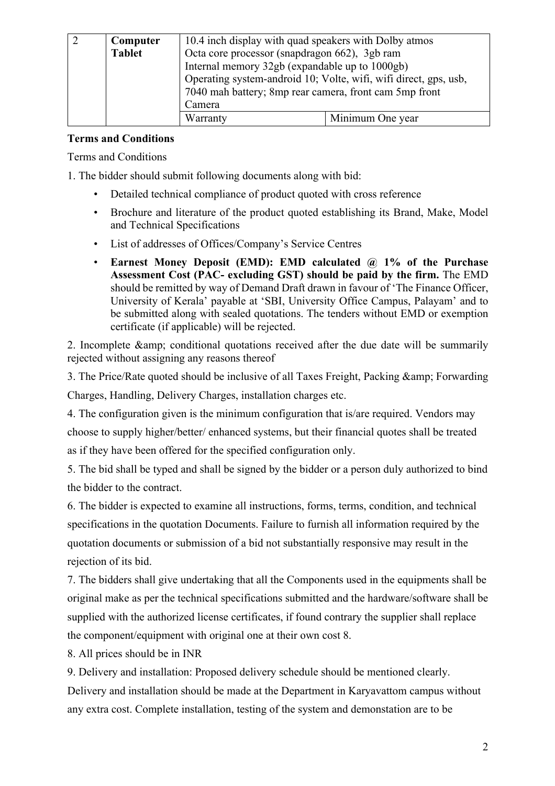| Computer      | 10.4 inch display with quad speakers with Dolby atmos            |                  |  |
|---------------|------------------------------------------------------------------|------------------|--|
| <b>Tablet</b> | Octa core processor (snapdragon 662), 3gb ram                    |                  |  |
|               | Internal memory 32gb (expandable up to 1000gb)                   |                  |  |
|               | Operating system-android 10; Volte, wifi, wifi direct, gps, usb, |                  |  |
|               | 7040 mah battery; 8mp rear camera, front cam 5mp front           |                  |  |
|               | Camera                                                           |                  |  |
|               | Warranty                                                         | Minimum One year |  |

## **Terms and Conditions**

Terms and Conditions

1. The bidder should submit following documents along with bid:

- Detailed technical compliance of product quoted with cross reference
- Brochure and literature of the product quoted establishing its Brand, Make, Model and Technical Specifications
- List of addresses of Offices/Company's Service Centres
- **Earnest Money Deposit (EMD): EMD calculated @ 1% of the Purchase Assessment Cost (PAC- excluding GST) should be paid by the firm.** The EMD should be remitted by way of Demand Draft drawn in favour of 'The Finance Officer, University of Kerala' payable at 'SBI, University Office Campus, Palayam' and to be submitted along with sealed quotations. The tenders without EMD or exemption certificate (if applicable) will be rejected.

2. Incomplete & amp; conditional quotations received after the due date will be summarily rejected without assigning any reasons thereof

3. The Price/Rate quoted should be inclusive of all Taxes Freight, Packing & amp; Forwarding

Charges, Handling, Delivery Charges, installation charges etc.

4. The configuration given is the minimum configuration that is/are required. Vendors may choose to supply higher/better/ enhanced systems, but their financial quotes shall be treated as if they have been offered for the specified configuration only.

5. The bid shall be typed and shall be signed by the bidder or a person duly authorized to bind the bidder to the contract.

6. The bidder is expected to examine all instructions, forms, terms, condition, and technical specifications in the quotation Documents. Failure to furnish all information required by the quotation documents or submission of a bid not substantially responsive may result in the rejection of its bid.

7. The bidders shall give undertaking that all the Components used in the equipments shall be original make as per the technical specifications submitted and the hardware/software shall be supplied with the authorized license certificates, if found contrary the supplier shall replace the component/equipment with original one at their own cost 8.

8. All prices should be in INR

9. Delivery and installation: Proposed delivery schedule should be mentioned clearly. Delivery and installation should be made at the Department in Karyavattom campus without any extra cost. Complete installation, testing of the system and demonstation are to be